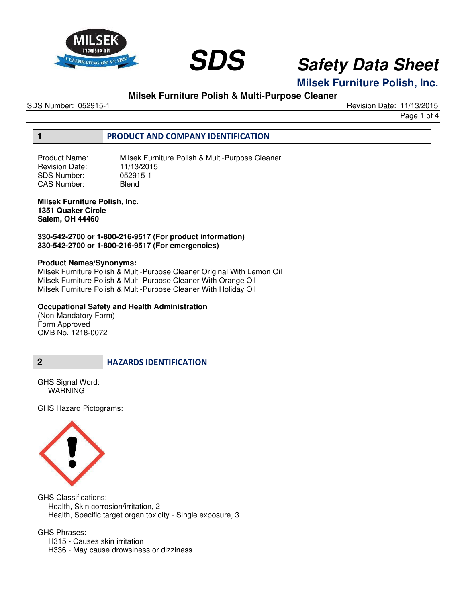



**Milsek Furniture Polish, Inc.**

# **Milsek Furniture Polish & Multi-Purpose Cleaner**

SDS Number: 052915-1 Revision Date: 11/13/2015

Page 1 of 4

### **1 PRODUCT AND COMPANY IDENTIFICATION**

Product Name: Milsek Furniture Polish & Multi-Purpose Cleaner Revision Date: 11/13/2015<br>SDS Number: 052915-1 SDS Number: 05291<br>CAS Number: Blend CAS Number:

#### **Milsek Furniture Polish, Inc. 1351 Quaker Circle Salem, OH 44460**

**330-542-2700 or 1-800-216-9517 (For product information) 330-542-2700 or 1-800-216-9517 (For emergencies)** 

#### **Product Names/Synonyms:**

Milsek Furniture Polish & Multi-Purpose Cleaner Original With Lemon Oil Milsek Furniture Polish & Multi-Purpose Cleaner With Orange Oil Milsek Furniture Polish & Multi-Purpose Cleaner With Holiday Oil

### **Occupational Safety and Health Administration**

(Non-Mandatory Form) Form Approved OMB No. 1218-0072

GHS Signal Word: **WARNING** 

GHS Hazard Pictograms:



GHS Classifications: Health, Skin corrosion/irritation, 2 Health, Specific target organ toxicity - Single exposure, 3

GHS Phrases:

H315 - Causes skin irritation

H336 - May cause drowsiness or dizziness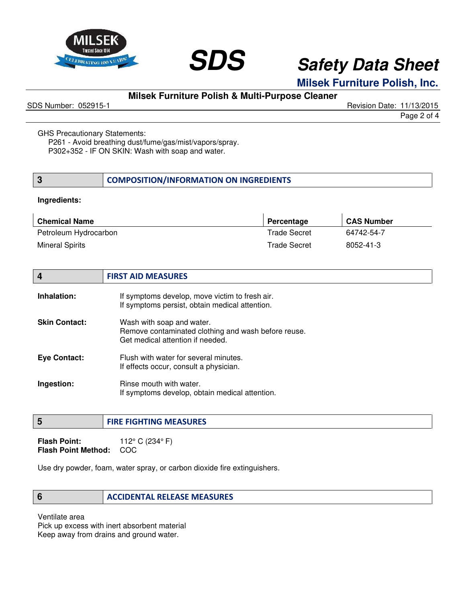



**Milsek Furniture Polish, Inc.**

# **Milsek Furniture Polish & Multi-Purpose Cleaner**

SDS Number: 052915-1 Revision Date: 11/13/2015

GHS Precautionary Statements:

P261 - Avoid breathing dust/fume/gas/mist/vapors/spray. P302+352 - IF ON SKIN: Wash with soap and water.

| COMPOSITION/INFORMATION ON INGREDIENTS |
|----------------------------------------|
|----------------------------------------|

#### **Ingredients:**

| <b>Chemical Name</b>  | Percentage   | <b>CAS Number</b> |
|-----------------------|--------------|-------------------|
| Petroleum Hydrocarbon | Trade Secret | 64742-54-7        |
| Mineral Spirits       | Trade Secret | 8052-41-3         |

| $\boldsymbol{4}$     | <b>FIRST AID MEASURES</b>                                                                                            |
|----------------------|----------------------------------------------------------------------------------------------------------------------|
| Inhalation:          | If symptoms develop, move victim to fresh air.<br>If symptoms persist, obtain medical attention.                     |
| <b>Skin Contact:</b> | Wash with soap and water.<br>Remove contaminated clothing and wash before reuse.<br>Get medical attention if needed. |
| <b>Eye Contact:</b>  | Flush with water for several minutes.<br>If effects occur, consult a physician.                                      |
| Ingestion:           | Rinse mouth with water.<br>If symptoms develop, obtain medical attention.                                            |

### **5 FIRE FIGHTING MEASURES**

**Flash Point:** 112° C (234° F) **Flash Point Method:** COC

Use dry powder, foam, water spray, or carbon dioxide fire extinguishers.

### **6 ACCIDENTAL RELEASE MEASURES**

Ventilate area

Pick up excess with inert absorbent material Keep away from drains and ground water.

Page 2 of 4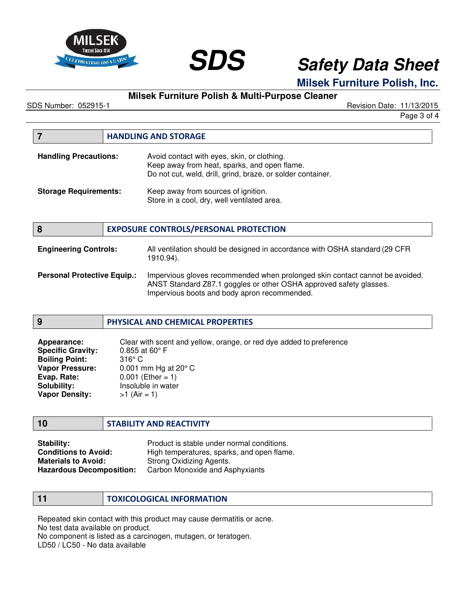



# **Milsek Furniture Polish, Inc.**

# **Milsek Furniture Polish & Multi-Purpose Cleaner**

SDS Number: 052915-1 Revision Date: 11/13/2015

Page 3 of 4

|                              | <b>HANDLING AND STORAGE</b>                                                                                                                                |
|------------------------------|------------------------------------------------------------------------------------------------------------------------------------------------------------|
| <b>Handling Precautions:</b> | Avoid contact with eyes, skin, or clothing.<br>Keep away from heat, sparks, and open flame.<br>Do not cut, weld, drill, grind, braze, or solder container. |
| <b>Storage Requirements:</b> | Keep away from sources of ignition.<br>Store in a cool, dry, well ventilated area.                                                                         |
| 8                            | <b>EXPOSURE CONTROLS/PERSONAL PROTECTION</b>                                                                                                               |

| <b>Engineering Controls:</b>       | All ventilation should be designed in accordance with OSHA standard (29 CFR)<br>1910.94).                                                          |
|------------------------------------|----------------------------------------------------------------------------------------------------------------------------------------------------|
| <b>Personal Protective Equip.:</b> | Impervious gloves recommended when prolonged skin contact cannot be avoided.<br>ANST Standard Z87.1 goggles or other OSHA approved safety glasses. |

| Impervious boots and body apron recommended. |  |
|----------------------------------------------|--|
|                                              |  |

#### **9 PHYSICAL AND CHEMICAL PROPERTIES**

| Appearance:              | Clear with scent and yellow, orange, or red dye added to preference |
|--------------------------|---------------------------------------------------------------------|
| <b>Specific Gravity:</b> | $0.855$ at 60 $^{\circ}$ F                                          |
| <b>Boiling Point:</b>    | $316^\circ$ C                                                       |
| <b>Vapor Pressure:</b>   | 0.001 mm Hg at $20^{\circ}$ C                                       |
| Evap. Rate:              | $0.001$ (Ether = 1)                                                 |
| Solubility:              | Insoluble in water                                                  |
| <b>Vapor Density:</b>    | $>1$ (Air = 1)                                                      |

### **10 STABILITY AND REACTIVITY**

**Stability: Product is stable under normal conditions.**<br>**Conditions to Avoid:** Product is stable under sparks, and open flam **Conditions to Avoid:** High temperatures, sparks, and open flame.<br>**Materials to Avoid:** Strong Oxidizing Agents. **Materials to Avoid:** Strong Oxidizing Agents.<br> **Hazardous Decomposition:** Carbon Monoxide and As **Carbon Monoxide and Asphyxiants** 

**11 TOXICOLOGICAL INFORMATION**

Repeated skin contact with this product may cause dermatitis or acne. No test data available on product.

No component is listed as a carcinogen, mutagen, or teratogen.

LD50 / LC50 - No data available